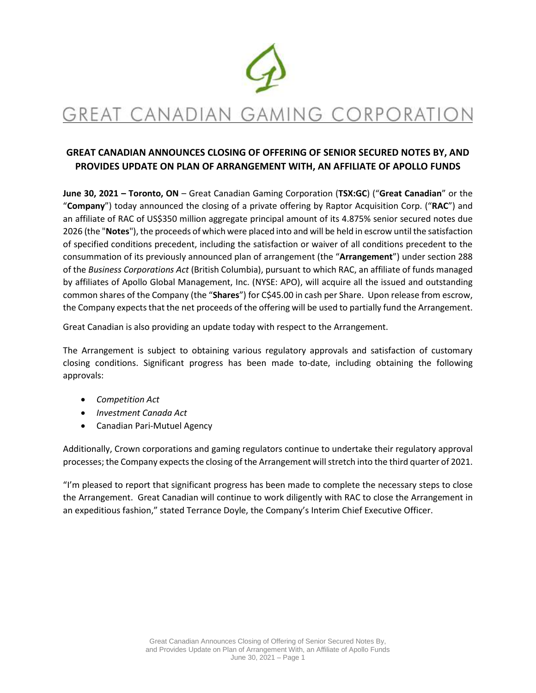

# GREAT CANADIAN GAMING CORPORATION

# **GREAT CANADIAN ANNOUNCES CLOSING OF OFFERING OF SENIOR SECURED NOTES BY, AND PROVIDES UPDATE ON PLAN OF ARRANGEMENT WITH, AN AFFILIATE OF APOLLO FUNDS**

**June 30, 2021 – Toronto, ON** – Great Canadian Gaming Corporation (**TSX:GC**) ("**Great Canadian**" or the "**Company**") today announced the closing of a private offering by Raptor Acquisition Corp. ("**RAC**") and an affiliate of RAC of US\$350 million aggregate principal amount of its 4.875% senior secured notes due 2026 (the "**Notes**"), the proceeds of which were placed into and will be held in escrow until the satisfaction of specified conditions precedent, including the satisfaction or waiver of all conditions precedent to the consummation of its previously announced plan of arrangement (the "**Arrangement**") under section 288 of the *Business Corporations Act* (British Columbia), pursuant to which RAC, an affiliate of funds managed by affiliates of Apollo Global Management, Inc. (NYSE: APO), will acquire all the issued and outstanding common shares of the Company (the "**Shares**") for C\$45.00 in cash per Share. Upon release from escrow, the Company expects that the net proceeds of the offering will be used to partially fund the Arrangement.

Great Canadian is also providing an update today with respect to the Arrangement.

The Arrangement is subject to obtaining various regulatory approvals and satisfaction of customary closing conditions. Significant progress has been made to-date, including obtaining the following approvals:

- *Competition Act*
- *Investment Canada Act*
- Canadian Pari-Mutuel Agency

Additionally, Crown corporations and gaming regulators continue to undertake their regulatory approval processes; the Company expects the closing of the Arrangement will stretch into the third quarter of 2021.

"I'm pleased to report that significant progress has been made to complete the necessary steps to close the Arrangement. Great Canadian will continue to work diligently with RAC to close the Arrangement in an expeditious fashion," stated Terrance Doyle, the Company's Interim Chief Executive Officer.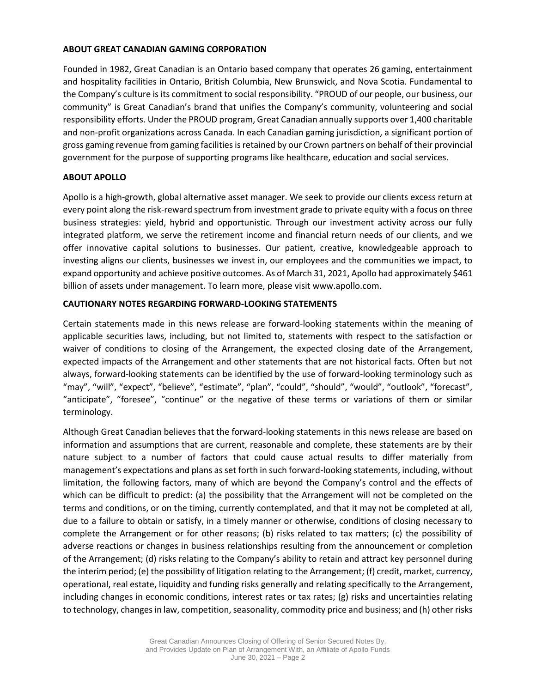#### **ABOUT GREAT CANADIAN GAMING CORPORATION**

Founded in 1982, Great Canadian is an Ontario based company that operates 26 gaming, entertainment and hospitality facilities in Ontario, British Columbia, New Brunswick, and Nova Scotia. Fundamental to the Company's culture is its commitment to social responsibility. "PROUD of our people, our business, our community" is Great Canadian's brand that unifies the Company's community, volunteering and social responsibility efforts. Under the PROUD program, Great Canadian annually supports over 1,400 charitable and non-profit organizations across Canada. In each Canadian gaming jurisdiction, a significant portion of gross gaming revenue from gaming facilities is retained by our Crown partners on behalf of their provincial government for the purpose of supporting programs like healthcare, education and social services.

## **ABOUT APOLLO**

Apollo is a high-growth, global alternative asset manager. We seek to provide our clients excess return at every point along the risk-reward spectrum from investment grade to private equity with a focus on three business strategies: yield, hybrid and opportunistic. Through our investment activity across our fully integrated platform, we serve the retirement income and financial return needs of our clients, and we offer innovative capital solutions to businesses. Our patient, creative, knowledgeable approach to investing aligns our clients, businesses we invest in, our employees and the communities we impact, to expand opportunity and achieve positive outcomes. As of March 31, 2021, Apollo had approximately \$461 billion of assets under management. To learn more, please visit [www.apollo.com.](http://www.apollo.com/)

#### **CAUTIONARY NOTES REGARDING FORWARD-LOOKING STATEMENTS**

Certain statements made in this news release are forward-looking statements within the meaning of applicable securities laws, including, but not limited to, statements with respect to the satisfaction or waiver of conditions to closing of the Arrangement, the expected closing date of the Arrangement, expected impacts of the Arrangement and other statements that are not historical facts. Often but not always, forward-looking statements can be identified by the use of forward-looking terminology such as "may", "will", "expect", "believe", "estimate", "plan", "could", "should", "would", "outlook", "forecast", "anticipate", "foresee", "continue" or the negative of these terms or variations of them or similar terminology.

Although Great Canadian believes that the forward-looking statements in this news release are based on information and assumptions that are current, reasonable and complete, these statements are by their nature subject to a number of factors that could cause actual results to differ materially from management's expectations and plans as set forth in such forward-looking statements, including, without limitation, the following factors, many of which are beyond the Company's control and the effects of which can be difficult to predict: (a) the possibility that the Arrangement will not be completed on the terms and conditions, or on the timing, currently contemplated, and that it may not be completed at all, due to a failure to obtain or satisfy, in a timely manner or otherwise, conditions of closing necessary to complete the Arrangement or for other reasons; (b) risks related to tax matters; (c) the possibility of adverse reactions or changes in business relationships resulting from the announcement or completion of the Arrangement; (d) risks relating to the Company's ability to retain and attract key personnel during the interim period; (e) the possibility of litigation relating to the Arrangement; (f) credit, market, currency, operational, real estate, liquidity and funding risks generally and relating specifically to the Arrangement, including changes in economic conditions, interest rates or tax rates; (g) risks and uncertainties relating to technology, changes in law, competition, seasonality, commodity price and business; and (h) other risks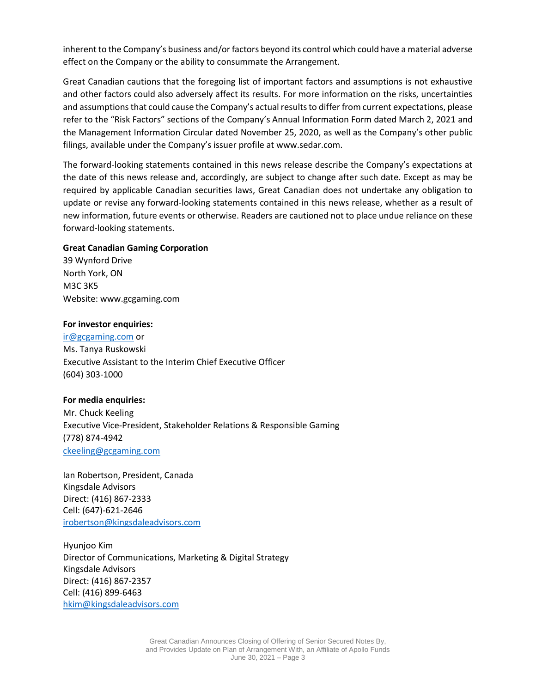inherent to the Company's business and/or factors beyond its control which could have a material adverse effect on the Company or the ability to consummate the Arrangement.

Great Canadian cautions that the foregoing list of important factors and assumptions is not exhaustive and other factors could also adversely affect its results. For more information on the risks, uncertainties and assumptions that could cause the Company's actual results to differ from current expectations, please refer to the "Risk Factors" sections of the Company's Annual Information Form dated March 2, 2021 and the Management Information Circular dated November 25, 2020, as well as the Company's other public filings, available under the Company's issuer profile at www.sedar.com.

The forward-looking statements contained in this news release describe the Company's expectations at the date of this news release and, accordingly, are subject to change after such date. Except as may be required by applicable Canadian securities laws, Great Canadian does not undertake any obligation to update or revise any forward-looking statements contained in this news release, whether as a result of new information, future events or otherwise. Readers are cautioned not to place undue reliance on these forward-looking statements.

#### **Great Canadian Gaming Corporation**

39 Wynford Drive North York, ON M3C 3K5 Website: www.gcgaming.com

#### **For investor enquiries:**

[ir@gcgaming.com](mailto:ir@gcgaming.com) or Ms. Tanya Ruskowski Executive Assistant to the Interim Chief Executive Officer (604) 303-1000

## **For media enquiries:**

Mr. Chuck Keeling Executive Vice-President, Stakeholder Relations & Responsible Gaming (778) 874-4942 [ckeeling@gcgaming.com](mailto:ckeeling@gcgaming.com)

Ian Robertson, President, Canada Kingsdale Advisors Direct: (416) 867-2333 Cell: (647)-621-2646 [irobertson@kingsdaleadvisors.com](mailto:irobertson@kingsdaleadvisors.com)

Hyunjoo Kim Director of Communications, Marketing & Digital Strategy Kingsdale Advisors Direct: (416) 867-2357 Cell: (416) 899-6463 [hkim@kingsdaleadvisors.com](mailto:hkim@kingsdaleadvisors.com)